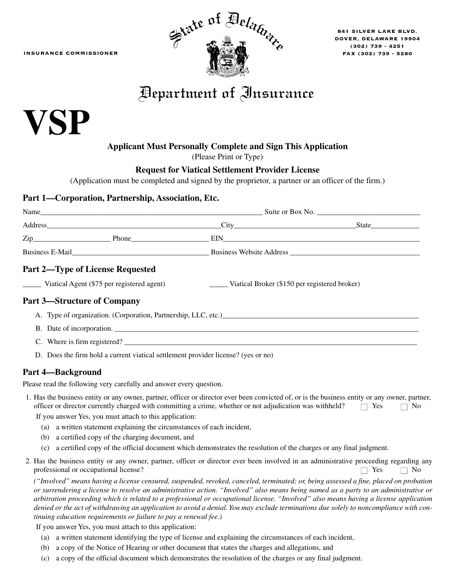INSURANCE COMMISSIONER



841 SILVER LAKE BLVD. DOVER, DELAWARE 19904 (302) 739 - 4251 FAX (302) 739 - 5280

## Department of Insurance

# **VSP**

#### **Applicant Must Personally Complete and Sign This Application**

(Please Print or Type)

#### **Request for Viatical Settlement Provider License**

(Application must be completed and signed by the proprietor, a partner or an officer of the firm.)

#### **Part 1—Corporation, Partnership, Association, Etc.**

| Name                                    |              | Suite or Box No. |       |  |
|-----------------------------------------|--------------|------------------|-------|--|
| Address                                 |              |                  | State |  |
| $\mathsf{Zip}\_\_$                      | <b>Phone</b> | EIN              |       |  |
| <b>Business E-Mail</b>                  |              |                  |       |  |
| <b>Part 2—Type of License Requested</b> |              |                  |       |  |

\_\_\_\_\_ Viatical Agent (\$75 per registered agent) \_\_\_\_\_ Viatical Broker (\$150 per registered broker)

#### **Part 3—Structure of Company**

| A. Type of organization. (Corporation, Partnership, LLC, etc.) |
|----------------------------------------------------------------|
| B. Date of incorporation.                                      |

- C. Where is firm registered?
- D. Does the firm hold a current viatical settlement provider license? (yes or no)

#### **Part 4—Background**

Please read the following very carefully and answer every question.

| 1. Has the business entity or any owner, partner, officer or director ever been convicted of, or is the business entity or any owner, partner, |  |
|------------------------------------------------------------------------------------------------------------------------------------------------|--|
| officer or director currently charged with committing a crime, whether or not adjudication was withheld? $\Box$ Yes $\Box$ No                  |  |

If you answer Yes, you must attach to this application:

- (a) a written statement explaining the circumstances of each incident,
- (b) a certified copy of the charging document, and
- (c) a certified copy of the official document which demonstrates the resolution of the charges or any final judgment.
- 2. Has the business entity or any owner, partner, officer or director ever been involved in an administrative proceeding regarding any professional or occupational license?  $\Box$  Yes  $\Box$  No

*("Involved" means having a license censured, suspended, revoked, canceled, terminated; or, being assessed a fine, placed on probation or surrendering a license to resolve an administrative action. "Involved" also means being named as a party to an administrative or arbitration proceeding which is related to a professional or occupational license. "Involved" also means having a license application denied or the act of withdrawing an application to avoid a denial. You may exclude terminations due solely to noncompliance with continuing education requirements or failure to pay a renewal fee.)* 

If you answer Yes, you must attach to this application:

- (a) a written statement identifying the type of license and explaining the circumstances of each incident,
- (b) a copy of the Notice of Hearing or other document that states the charges and allegations, and
- (c) a copy of the official document which demonstrates the resolution of the charges or any final judgment.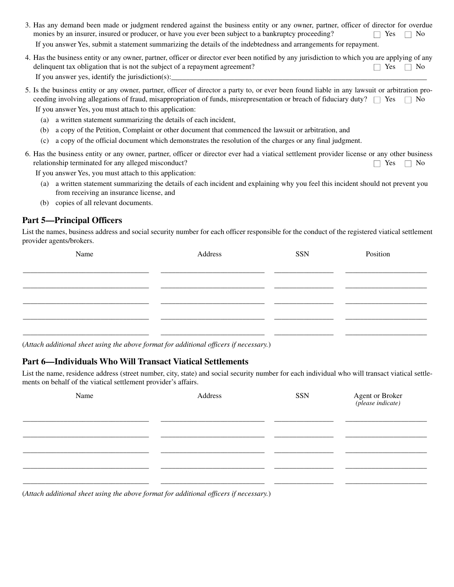- 3. Has any demand been made or judgment rendered against the business entity or any owner, partner, officer of director for overdue monies by an insurer, insured or producer, or have you ever been subject to a bankruptcy proceeding?  $\Box$  Yes  $\Box$  No If you answer Yes, submit a statement summarizing the details of the indebtedness and arrangements for repayment.
- 4. Has the business entity or any owner, partner, officer or director ever been notified by any jurisdiction to which you are applying of any delinquent tax obligation that is not the subject of a repayment agreement?  $\Box$  Yes  $\Box$  No If you answer yes, identify the jurisdiction $(s)$ :
- 5. Is the business entity or any owner, partner, officer of director a party to, or ever been found liable in any lawsuit or arbitration proceeding involving allegations of fraud, misappropriation of funds, misrepresentation or breach of fiduciary duty?  $\Box$  Yes  $\Box$  No If you answer Yes, you must attach to this application:
	- (a) a written statement summarizing the details of each incident,
	- (b) a copy of the Petition, Complaint or other document that commenced the lawsuit or arbitration, and
	- (c) a copy of the official document which demonstrates the resolution of the charges or any final judgment.
- 6. Has the business entity or any owner, partner, officer or director ever had a viatical settlement provider license or any other business relationship terminated for any alleged misconduct?  $\Box$  Yes  $\Box$  No

If you answer Yes, you must attach to this application:

- (a) a written statement summarizing the details of each incident and explaining why you feel this incident should not prevent you from receiving an insurance license, and
- (b) copies of all relevant documents.

#### **Part 5—Principal Officers**

List the names, business address and social security number for each officer responsible for the conduct of the registered viatical settlement provider agents/brokers.

| Name | Address | SSN | Position  |
|------|---------|-----|-----------|
|      |         |     |           |
|      |         |     |           |
|      |         |     |           |
|      |         |     |           |
|      |         |     |           |
|      |         |     | _________ |

(*Attach additional sheet using the above format for additional officers if necessary.*)

#### **Part 6—Individuals Who Will Transact Viatical Settlements**

List the name, residence address (street number, city, state) and social security number for each individual who will transact viatical settlements on behalf of the viatical settlement provider's affairs.

| Name                                                                                   | Address | <b>SSN</b> | <b>Agent or Broker</b><br>(please indicate) |
|----------------------------------------------------------------------------------------|---------|------------|---------------------------------------------|
|                                                                                        |         |            |                                             |
|                                                                                        |         |            |                                             |
|                                                                                        |         |            |                                             |
| (Attach additional sheet using the above format for additional officers if necessary.) |         |            |                                             |